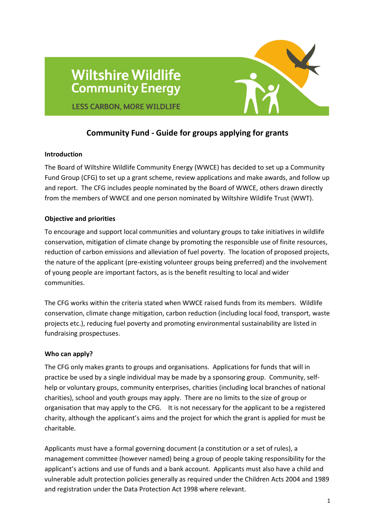

# **LESS CARBON, MORE WILDLIFE**

**Wiltshire Wildlife** 

**Community Energy** 

## **Community Fund - Guide for groups applying for grants**

#### **Introduction**

The Board of Wiltshire Wildlife Community Energy (WWCE) has decided to set up a Community Fund Group (CFG) to set up a grant scheme, review applications and make awards, and follow up and report. The CFG includes people nominated by the Board of WWCE, others drawn directly from the members of WWCE and one person nominated by Wiltshire Wildlife Trust (WWT).

## **Objective and priorities**

To encourage and support local communities and voluntary groups to take initiatives in wildlife conservation, mitigation of climate change by promoting the responsible use of finite resources, reduction of carbon emissions and alleviation of fuel poverty. The location of proposed projects, the nature of the applicant (pre-existing volunteer groups being preferred) and the involvement of young people are important factors, as is the benefit resulting to local and wider communities.

The CFG works within the criteria stated when WWCE raised funds from its members. Wildlife conservation, climate change mitigation, carbon reduction (including local food, transport, waste projects etc.), reducing fuel poverty and promoting environmental sustainability are listed in fundraising prospectuses.

## **Who can apply?**

The CFG only makes grants to groups and organisations. Applications for funds that will in practice be used by a single individual may be made by a sponsoring group. Community, selfhelp or voluntary groups, community enterprises, charities (including local branches of national charities), school and youth groups may apply. There are no limits to the size of group or organisation that may apply to the CFG. It is not necessary for the applicant to be a registered charity, although the applicant's aims and the project for which the grant is applied for must be charitable.

Applicants must have a formal governing document (a constitution or a set of rules), a management committee (however named) being a group of people taking responsibility for the applicant's actions and use of funds and a bank account. Applicants must also have a child and vulnerable adult protection policies generally as required under the Children Acts 2004 and 1989 and registration under the Data Protection Act 1998 where relevant.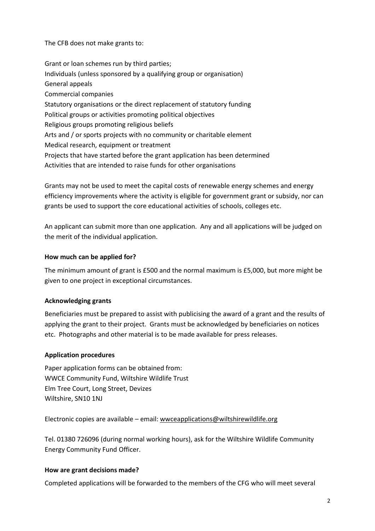The CFB does not make grants to:

Grant or loan schemes run by third parties; Individuals (unless sponsored by a qualifying group or organisation) General appeals Commercial companies Statutory organisations or the direct replacement of statutory funding Political groups or activities promoting political objectives Religious groups promoting religious beliefs Arts and / or sports projects with no community or charitable element Medical research, equipment or treatment Projects that have started before the grant application has been determined Activities that are intended to raise funds for other organisations

Grants may not be used to meet the capital costs of renewable energy schemes and energy efficiency improvements where the activity is eligible for government grant or subsidy, nor can grants be used to support the core educational activities of schools, colleges etc.

An applicant can submit more than one application. Any and all applications will be judged on the merit of the individual application.

## **How much can be applied for?**

The minimum amount of grant is £500 and the normal maximum is £5,000, but more might be given to one project in exceptional circumstances.

## **Acknowledging grants**

Beneficiaries must be prepared to assist with publicising the award of a grant and the results of applying the grant to their project. Grants must be acknowledged by beneficiaries on notices etc. Photographs and other material is to be made available for press releases.

#### **Application procedures**

Paper application forms can be obtained from: WWCE Community Fund, Wiltshire Wildlife Trust Elm Tree Court, Long Street, Devizes Wiltshire, SN10 1NJ

Electronic copies are available – email: [wwceapplications@wiltshirewildlife.org](mailto:wwceapplications@wiltshirewildlife.org)

Tel. 01380 726096 (during normal working hours), ask for the Wiltshire Wildlife Community Energy Community Fund Officer.

#### **How are grant decisions made?**

Completed applications will be forwarded to the members of the CFG who will meet several